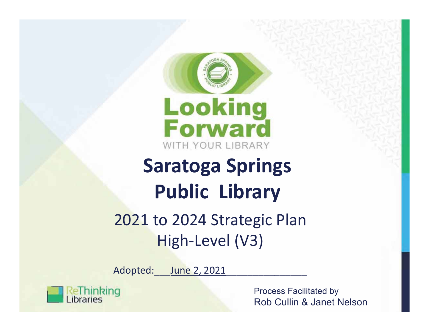



# **Saratoga Springs Public Library**

# 2021 to 2024 Strategic Plan High-Level (V3)

Adopted:\_\_\_June 2, 2021\_\_\_\_\_\_\_\_\_\_\_\_\_\_\_



Process Facilitated by Rob Cullin & Janet Nelson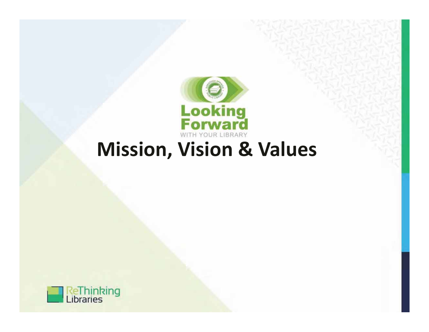

# **Mission, Vision & Values**

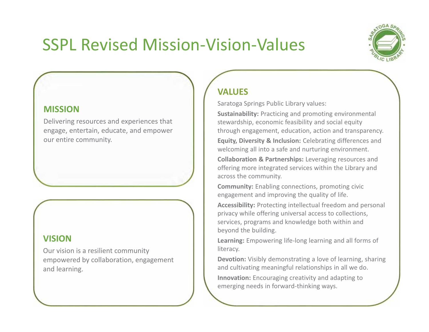# SSPL Revised Mission-Vision-Values



#### **MISSION**

Delivering resources and experiences that engage, entertain, educate, and empower our entire community.

#### **VISION**

Our vision is a resilient community empowered by collaboration, engagement and learning.

### **VALUES**

Saratoga Springs Public Library values:

**Sustainability:** Practicing and promoting environmental stewardship, economic feasibility and social equity through engagement, education, action and transparency.

**Equity, Diversity & Inclusion:** Celebrating differences and welcoming all into a safe and nurturing environment.

**Collaboration & Partnerships:** Leveraging resources and offering more integrated services within the Library and across the community.

**Community:** Enabling connections, promoting civic engagement and improving the quality of life.

**Accessibility:** Protecting intellectual freedom and personal privacy while offering universal access to collections, services, programs and knowledge both within and beyond the building.

**Learning:** Empowering life-long learning and all forms of literacy.

**Devotion:** Visibly demonstrating a love of learning, sharing and cultivating meaningful relationships in all we do. **Innovation:** Encouraging creativity and adapting to emerging needs in forward-thinking ways.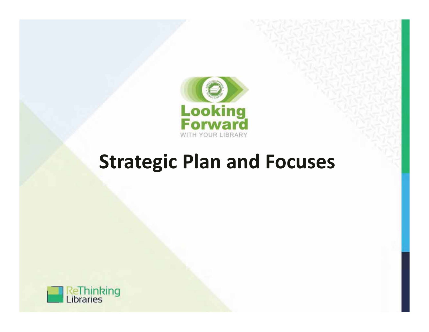

# **Strategic Plan and Focuses**

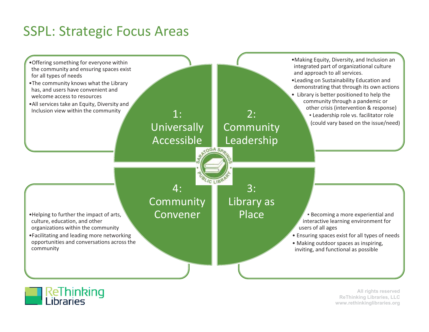### SSPL: Strategic Focus Areas





All rights reserved ReThinking Libraries, LLC www.rethinkinglibraries.org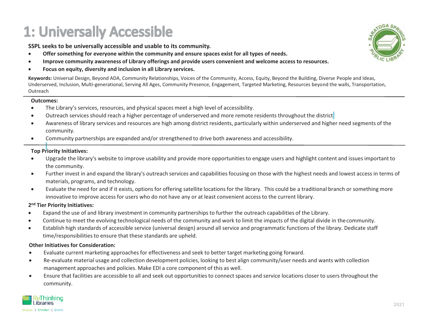# 1: Universally Accessible

**SSPL seeks to be universally accessible and usable to its community.**

- -**Offer something for everyone within the community and ensure spaces exist for all types of needs.**
- $\bullet$ **Improve community awareness of Library offerings and provide users convenient and welcome access to resources.**
- $\bullet$ **Focus on equity, diversity and inclusion in all Library services.**

**Keywords:** Universal Design, Beyond ADA, Community Relationships, Voices of the Community, Access, Equity, Beyond the Building, Diverse People and Ideas, Underserved, Inclusion, Multi-generational, Serving All Ages, Community Presence, Engagement, Targeted Marketing, Resources beyond the walls, Transportation, **Outreach** 

#### **Outcomes:**

- $\bullet$ The Library's services, resources, and physical spaces meet a high level of accessibility.
- $\bullet$ Outreach services should reach a higher percentage of underserved and more remote residents throughout the district
- $\bullet$  Awareness of library services and resources are high among district residents, particularly within underserved and higher need segments of the community.
- $\bullet$ Community partnerships are expanded and/or strengthened to drive both awareness and accessibility.

#### **Top Priority Initiatives:**

- $\bullet$  Upgrade the library's website to improve usability and provide more opportunities to engage users and highlight content and issues important to the community.
- $\bullet$  Further invest in and expand the library's outreach services and capabilities focusing on those with the highest needs and lowest access in terms of materials, programs, and technology.
- $\bullet$  Evaluate the need for and if it exists, options for offering satellite locations for the library. This could be a traditional branch or something more innovative to improve access for users who do not have any or at least convenient access to the current library.

#### **2n<sup>d</sup> Tier Priority Initiatives:**

- $\bullet$ Expand the use of and library investment in community partnerships to further the outreach capabilities of the Library.
- $\bullet$ Continue to meet the evolving technological needs of the community and work to limit the impacts of the digital divide in the community.
- - Establish high standards of accessible service (universal design) around all service and programmatic functions of the library. Dedicate staff time/responsibilities to ensure that these standards are upheld.

- $\bullet$ Evaluate current marketing approaches for effectiveness and seek to better target marketing going forward.
- $\bullet$  Re-evaluate material usage and collection development policies, looking to best align community/user needs and wants with collection management approaches and policies. Make EDI a core component of this as well.
- $\bullet$  Ensure that facilities are accessible to all and seek out opportunities to connect spaces and service locations closer to users throughout the community.



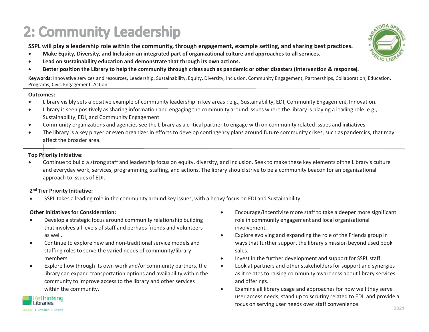# 2: Community Leadership

**SSPL will play a leadership role within the community, through engagement, example setting, and sharing best practices.**

- -**Make Equity, Diversity, and Inclusion an integrated part of organizational culture and approaches to all services.**
- $\bullet$ **Lead on sustainability education and demonstrate that through its own actions.**
- $\bullet$ **Better position the Library to help the community through crises such as pandemic or other disasters (intervention & response).**

**Keywords:** Innovative services and resources, Leadership, Sustainability, Equity, Diversity, Inclusion, Community Engagement, Partnerships, Collaboration, Education, Programs, Civic Engagement, Action

#### **Outcomes:**

- $\bullet$ Library visibly sets a positive example of community leadership in key areas : e.g., Sustainability, EDI, Community Engagement, Innovation.
- $\bullet$ Library is seen positively as sharing information and engaging the community around issues where the library is playing a leading role: e.g., Sustainability, EDI, and Community Engagement.
- $\bullet$ Community organizations and agencies see the Library as a critical partner to engage with on community related issues and initiatives.
- $\bullet$  The library is a key player or even organizer in efforts to develop contingency plans around future community crises, such as pandemics, that may affect the broader area.

#### **Top Priority Initiative:**

 $\bullet$  Continue to build a strong staff and leadership focus on equity, diversity, and inclusion. Seek to make these key elements of the Library's culture and everyday work, services, programming, staffing, and actions. The library should strive to be a community beacon for an organizational approach to issues of EDI.

#### **2n<sup>d</sup> Tier Priority Initiative:**

 $\bullet$ SSPL takes a leading role in the community around key issues, with a heavy focus on EDI and Sustainability.

- - Develop a strategic focus around community relationship building that involves all levels of staff and perhaps friends and volunteers as well.
- $\bullet$  Continue to explore new and non-traditional service models and staffing roles to serve the varied needs of community/library members.
- - Explore how through its own work and/or community partners, the library can expand transportation options and availability within the community to improve access to the library and other services within the community.
- - Encourage/incentivize more staff to take a deeper more significant role in community engagement and local organizational involvement.
- $\bullet$  Explore evolving and expanding the role of the Friends group in ways that further support the library's mission beyond used book sales.
- $\bullet$ Invest in the further development and support for SSPL staff.
- $\bullet$  Look at partners and other stakeholders for support and synergies as it relates to raising community awareness about library services and offerings.
- $\bullet$  Examine all library usage and approaches for how well they serve user access needs, stand up to scrutiny related to EDI, and provide a focus on serving user needs over staff convenience.



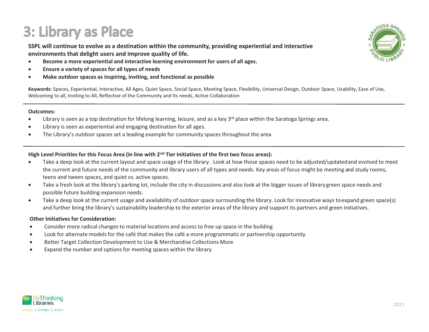## 3: Library as Place

**SSPL will continue to evolve as a destination within the community, providing experiential and interactive environments that delight users and improve quality of life.**

- $\bullet$ **Become a more experiential and interactive learning environment for users of all ages.**
- $\bullet$ **Ensure a variety of spaces for all types of needs**
- $\bullet$ **Make outdoor spaces as inspiring, inviting, and functional as possible**

**Keywords:** Spaces, Experiential, Interactive, All Ages, Quiet Space, Social Space, Meeting Space, Flexibility, Universal Design, Outdoor Space, Usability, Ease of Use, Welcoming to all, Inviting to All, Reflective of the Community and Its needs, Active Collaboration

#### **Outcomes:**

- $\bullet$ Library is seen as a top destination for lifelong learning, leisure, and as a key  $3<sup>rd</sup>$  place within the Saratoga Springs area.
- $\bullet$ Library is seen as experiential and engaging destination for all ages.
- $\bullet$ The Library's outdoor spaces set a leading example for community spaces throughout the area.

#### **High Level Priorities for this Focus Area (in line with 2nd Tier Initiatives of the first two focus areas):**

- $\bullet$  Take a deep look at the current layout and space usage of the library. Look at how those spaces need to be adjusted/updated and evolved to meet the current and future needs of the community and library users of all types and needs. Key areas of focus might be meeting and study rooms, teens and tween spaces, and quiet vs. active spaces.
- $\bullet$  Take a fresh look at the library's parking lot, include the city in discussions and also look at the bigger issues of library green space needs and possible future building expansion needs.
- $\bullet$  Take a deep look at the current usage and availability of outdoor space surrounding the library. Look for innovative ways to expand green space(s) and further bring the library's sustainability leadership to the exterior areas of the library and support its partners and green initiatives.

- $\bullet$ Consider more radical changes to material locations and access to free up space in the building
- $\bullet$ Look for alternate models for the café that makes the café a more programmatic or partnership opportunity.
- $\bullet$ Better Target Collection Development to Use & Merchandise Collections More
- $\bullet$ Expand the number and options for meeting spaces within the library



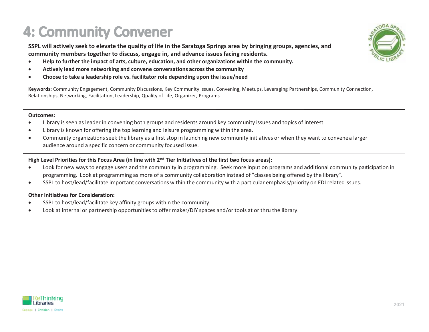# **4: Community Convener**

**SSPL will actively seek to elevate the quality of life in the Saratoga Springs area by bringing groups, agencies, and community members together to discuss, engage in, and advance issues facing residents.**

- $\bullet$ **Help to further the impact of arts, culture, education, and other organizations within the community.**
- $\bullet$ **Actively lead more networking and convene conversations across the community**
- $\bullet$ **Choose to take a leadership role vs. facilitator role depending upon the issue/need**

**Keywords:** Community Engagement, Community Discussions, Key Community Issues, Convening, Meetups, Leveraging Partnerships, Community Connection, Relationships, Networking, Facilitation, Leadership, Quality of Life, Organizer, Programs

#### **Outcomes:**

- $\bullet$ Library is seen as leader in convening both groups and residents around key community issues and topics of interest.
- $\bullet$ Library is known for offering the top learning and leisure programming within the area.
- $\bullet$  Community organizations seek the library as a first stop in launching new community initiatives or when they want to convene a larger audience around a specific concern or community focused issue.

#### High Level Priorities for this Focus Area (in line with 2<sup>nd</sup> Tier Initiatives of the first two focus areas):

- $\bullet$  Look for new ways to engage users and the community in programming. Seek more input on programs and additional community participation in programming. Look at programming as more of a community collaboration instead of "classes being offered by the library".
- $\bullet$ SSPL to host/lead/facilitate important conversations within the community with a particular emphasis/priority on EDI related issues.

- $\bullet$ SSPL to host/lead/facilitate key affinity groups within the community.
- $\bullet$ Look at internal or partnership opportunities to offer maker/DIY spaces and/or tools at or thru the library.



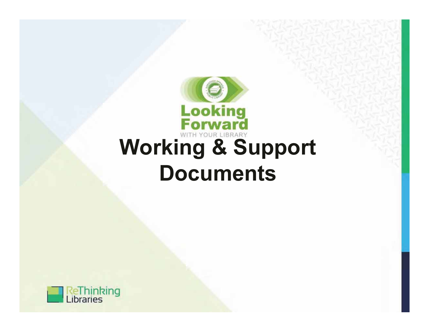

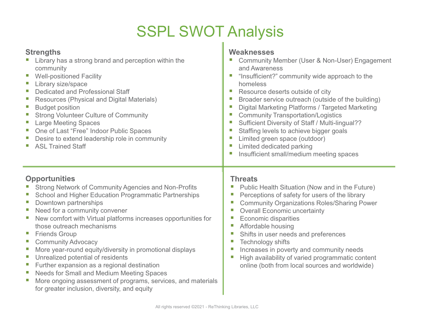# **SSPL SWOT Analysis**

#### **Strengths**

- Library has a strong brand and perception within the  $\blacksquare$ community
- **Well-positioned Facility** L.
- Library size/space П
- Dedicated and Professional Staff П
- **Resources (Physical and Digital Materials)** Ш
- **Budget position** E
- **Strong Volunteer Culture of Community** T.
- **Large Meeting Spaces** L
- One of Last "Free" Indoor Public Spaces  $\overline{\phantom{a}}$
- Desire to extend leadership role in community
- T. **ASL Trained Staff**

#### **Opportunities**

- Strong Network of Community Agencies and Non-Profits
- School and Higher Education Programmatic Partnerships
- Downtown partnerships T.
- Need for a community convener L
- New comfort with Virtual platforms increases opportunities for those outreach mechanisms
- $\overline{\phantom{a}}$ **Friends Group**
- T. **Community Advocacy**
- More year-round equity/diversity in promotional displays T.
- Unrealized potential of residents  $\overline{\phantom{a}}$
- $\mathbb{R}^n$ Further expansion as a regional destination
- Needs for Small and Medium Meeting Spaces  $\overline{\phantom{a}}$
- More ongoing assessment of programs, services, and materials L. for greater inclusion, diversity, and equity

#### Weaknesses

- Community Member (User & Non-User) Engagement  $\mathcal{L}_{\mathcal{A}}$ and Awareness
- "Insufficient?" community wide approach to the homeless
- Resource deserts outside of city
- Broader service outreach (outside of the building)
- Digital Marketing Platforms / Targeted Marketing
- **Community Transportation/Logistics**  $\mathcal{L}_{\mathcal{A}}$
- Sufficient Diversity of Staff / Multi-lingual??
- Staffing levels to achieve bigger goals
- Limited green space (outdoor)
- Limited dedicated parking
- Insufficient small/medium meeting spaces

#### **Threats**

- Public Health Situation (Now and in the Future)
- Perceptions of safety for users of the library
- **Community Organizations Roles/Sharing Power**  $\overline{\phantom{a}}$
- **Overall Economic uncertainty**  $\mathcal{L}_{\mathcal{A}}$
- **Economic disparities**  $\overline{\phantom{a}}$
- Affordable housing  $\overline{\phantom{a}}$
- Shifts in user needs and preferences  $\mathcal{C}$
- $\overline{\phantom{a}}$ Technology shifts
- Increases in poverty and community needs  $\overline{\phantom{a}}$
- High availability of varied programmatic content  $\overline{\phantom{a}}$ online (both from local sources and worldwide)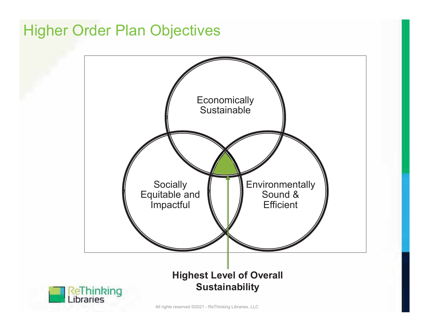## **Higher Order Plan Objectives**

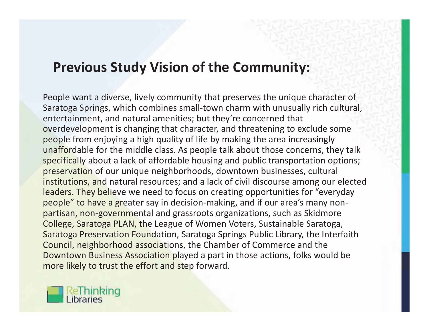### **Previous Study Vision of the Community:**

People want a diverse, lively community that preserves the unique character of Saratoga Springs, which combines small-town charm with unusually rich cultural, entertainment, and natural amenities; but they're concerned that overdevelopment is changing that character, and threatening to exclude some people from enjoying a high quality of life by making the area increasingly unaffordable for the middle class. As people talk about those concerns, they talk specifically about a lack of affordable housing and public transportation options; preservation of our unique neighborhoods, downtown businesses, cultural institutions, and natural resources; and a lack of civil discourse among our elected leaders. They believe we need to focus on creating opportunities for "everyday people" to have a greater say in decision-making, and if our area's many nonpartisan, non-governmental and grassroots organizations, such as Skidmore College, Saratoga PLAN, the League of Women Voters, Sustainable Saratoga, Saratoga Preservation Foundation, Saratoga Springs Public Library, the Interfaith Council, neighborhood associations, the Chamber of Commerce and the Downtown Business Association played a part in those actions, folks would be more likely to trust the effort and step forward.

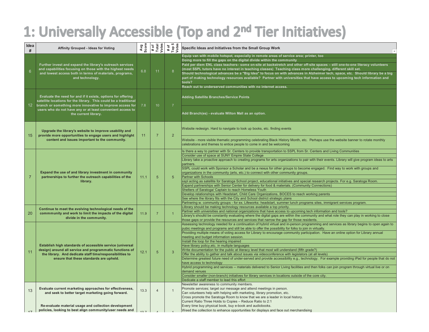### 1: Universally Accessible (Top and 2nd Tier Initiatives)

| Idea<br>#       | Affinity Grouped - Ideas for Voting                                                                                                                                                                                                                                                 |      | Avg<br>Score<br># of<br>Total<br>Votes | # of<br>Top 5<br>Votes | Specific Ideas and Initiatives from the Small Group Work                                                                                                                                                                                                                                                                                                                                                                                                                                                                                                                                                                                                                                                                                                                                                                                                                                                                                                                                                                                                                                                                                                                                                                                                  |
|-----------------|-------------------------------------------------------------------------------------------------------------------------------------------------------------------------------------------------------------------------------------------------------------------------------------|------|----------------------------------------|------------------------|-----------------------------------------------------------------------------------------------------------------------------------------------------------------------------------------------------------------------------------------------------------------------------------------------------------------------------------------------------------------------------------------------------------------------------------------------------------------------------------------------------------------------------------------------------------------------------------------------------------------------------------------------------------------------------------------------------------------------------------------------------------------------------------------------------------------------------------------------------------------------------------------------------------------------------------------------------------------------------------------------------------------------------------------------------------------------------------------------------------------------------------------------------------------------------------------------------------------------------------------------------------|
| $6\phantom{1}$  | Further invest and expand the library's outreach services<br>and capabilities focusing on those with the highest needs<br>and lowest access both in terms of materials, programs,<br>and technology.                                                                                | 6.8  | 11                                     | 8                      | Equip van with mobile hotspot, especially in remote areas of service area; printer, too<br>Doing more to fill the gaps on the digital divide within the community<br>Paid per diem ENL class teachers– some on-site at backstretch and other off-site spaces – still one-to-one literacy volunteers<br>(most SSPL tutors have no interest in teaching classes) Teaching class more challenging, different skill set.<br>Should technological advances be a "Big Idea" to focus on with advances in Alzheimer tech, space, etc. Should library be a big<br>part of making technology resources available? Partner with universities that have access to upcoming tech information and<br>tools?<br>Reach out to underserved communities with no internet access.                                                                                                                                                                                                                                                                                                                                                                                                                                                                                           |
| 12 <sup>°</sup> | Evaluate the need for and if it exists, options for offering<br>satellite locations for the library. This could be a traditional<br>branch or something more innovative to improve access for<br>users who do not have any or at least convenient access to<br>the current library. | 7.8  | 10 <sup>°</sup>                        | $\overline{7}$         | <b>Adding Satellite Branches/Service Points</b><br>Add Branch(es) - evaluate Wilton Mall as an option.                                                                                                                                                                                                                                                                                                                                                                                                                                                                                                                                                                                                                                                                                                                                                                                                                                                                                                                                                                                                                                                                                                                                                    |
| 15              | Upgrade the library's website to improve usability and<br>provide more opportunities to engage users and highlight<br>content and issues important to the community.                                                                                                                | 11   | $\overline{7}$                         | 2                      | Website redesign. Hard to navigate to look up books, etc. finding events<br>Website - more visible thematic programming celebrating Black History Month, etc. Perhaps use the website banner to rotate monthly<br>celebrations and themes to entice people to come in and be welcoming                                                                                                                                                                                                                                                                                                                                                                                                                                                                                                                                                                                                                                                                                                                                                                                                                                                                                                                                                                    |
| $\overline{7}$  | Expand the use of and library investment in community<br>partnerships to further the outreach capabilities of the<br>library.                                                                                                                                                       | 11.1 | $\sqrt{5}$                             | 5 <sup>5</sup>         | Is there a way to partner with Sr. Centers to provide transportation to SSPL from Sr. Centers and Living Communities<br>Consider use of space at SUNY Empire State College<br>Library take a proactive approach to creating programs for arts organizations to pair with their events. Library will give program ideas to arts<br>partners.<br>SSPL could work with Sponsor a Scholar and be a nexus for other groups to become engaged. Find way to work with groups and<br>organizations in the community (arts, etc.) to connect with other community groups.<br><b>Partner with Schools</b><br>sspl acting as satellite for Saratoga School project, educational initiatives and special research projects. For e.g. Saratoga Room.<br>Expand partnerships with Senior Center for delivery for food & materials. (Community Connections)<br>Shelters of Saratoga/ Captain to reach Homeless Youth<br>Develop relationships with Headstart, Child Care Organizations, BOCES to reach working parents<br>See where the library fits with the City and School district strategic plans<br>Partnering w. community groups - for ex. Lifeworks: headstart, summer lunch programs sites, immigrant services program.                                        |
| 20              | Continue to meet the evolving technological needs of the<br>commmunity and work to limit the impacts of the digital<br>divide in the community.                                                                                                                                     | 11.9 | $\overline{7}$                         |                        | Llibrary should be making technology resources available a top priority.<br>Partner with universities and national organizations that have access to upcoming tech information and tools?<br>Library's shoulld be constantly evaluating where the digital gaps are within the community and what role they can play in working to close<br>those gaps or provide the resources and services that narrow the gap for those residents.                                                                                                                                                                                                                                                                                                                                                                                                                                                                                                                                                                                                                                                                                                                                                                                                                      |
| 11              | Establish high standards of accessible service (universal<br>design) around all service and programmatic functions of<br>the library. And dedicate staff time/responsibilities to<br>ensure that these standards are upheld.                                                        | 12.1 | $5\phantom{.0}$                        | 3                      | Assessing technology needed for a continuation of hybrid virtual and in-person programming and services as library begins to open again to<br>pubic meetings and programs and still be able to offer the possibility for folks to join in virtually.<br>Providing multiple means of voting access for Library to encourage community participation. Have an online option for Library annual<br>meeting and budget information session.<br>Install the loop for the hearing impaired<br>Have library policy, etc. in multiple languages<br>Write documentation for the public at literacy level that most will understand (fifth grade?)<br>Offer the ability to gather and talk about issues via videoconference with legislators (at all levels)<br>Determine greatest future need of under-served and provide accessibility e.g., technology. For example providing iPad for people that do not<br>have access to technology<br>Hybrid programming and services -- materials delivered to Senior Living facilities and then folks can join program through virtual live or on<br>demand venues<br>Consider smaller (non-branch) initiatives for library services in locations outside of the core city.<br>Dedicate a staff member to lead this effort |
| 13              | Evaluate current marketing approaches for effectiveness,<br>and seek to better target marketing going forward.                                                                                                                                                                      | 13.3 | $\overline{4}$                         | $\mathbf{1}$           | Newsletter awareness to community members.<br>Promote services; target our message and attend meetings in person.<br>Can volunteers help with helping with marketing, library promotion, etc.<br>Cross promote the Saratoga Room to know that we are a leader in local history.<br>Current Ratio Three Holds to Copies - Reduce Ratio to 2:1                                                                                                                                                                                                                                                                                                                                                                                                                                                                                                                                                                                                                                                                                                                                                                                                                                                                                                              |
| 17              | Re-evaluate material usage and collection development<br>policies, looking to best align community/user needs and                                                                                                                                                                   |      |                                        |                        | Every time buy physical book, buy e-book and audiobooks.<br>Weed the collection to enhance opportunities for displays and face out merchandising                                                                                                                                                                                                                                                                                                                                                                                                                                                                                                                                                                                                                                                                                                                                                                                                                                                                                                                                                                                                                                                                                                          |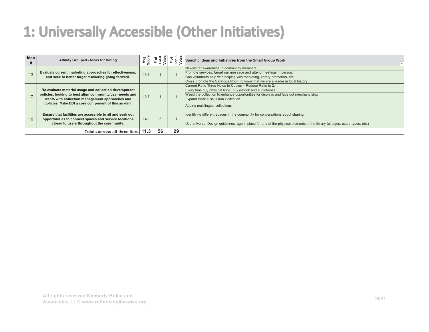### 1: Universally Accessible (Other Initiatives)

| Idea | Affinity Grouped - Ideas for Voting                                                                                                                                                                                          | Avg<br>Score |    |    | Specific Ideas and Initiatives from the Small Group Work                                                                                                                                                                                                                              |
|------|------------------------------------------------------------------------------------------------------------------------------------------------------------------------------------------------------------------------------|--------------|----|----|---------------------------------------------------------------------------------------------------------------------------------------------------------------------------------------------------------------------------------------------------------------------------------------|
| 13   | Evaluate current marketing approaches for effectiveness,<br>and seek to better target marketing going forward.                                                                                                               | 13.3         |    |    | Newsletter awareness to community members.<br>Promote services; target our message and attend meetings in person.<br>Can volunteers help with helping with marketing, library promotion, etc.<br>Cross promote the Saratoga Room to know that we are a leader in local history.       |
| 17   | Re-evaluate material usage and collection development<br>policies, looking to best align community/user needs and<br>wants with collection management approaches and<br>policies. Make EDI a core component of this as well. | 13.7         |    |    | Current Ratio Three Holds to Copies - Reduce Ratio to 2:1<br>Every time buy physical book, buy e-book and audiobooks.<br>Weed the collection to enhance opportunities for displays and face out merchandising<br>Expand Book Discussion Collection<br>Adding multilingual collections |
| 10   | Ensure that facilities are accessible to all and seek out<br>opportunities to connect spaces and service locations<br>closer to users throughout the community.                                                              | 14.1         |    |    | Identifying different spaces in the community for conversations about sharing<br>Use universal Design guidelines, age in place for any of the physical elements in the library (all ages, users types, etc.)                                                                          |
|      | Totals across all three tiers 11.3                                                                                                                                                                                           |              | 56 | 29 |                                                                                                                                                                                                                                                                                       |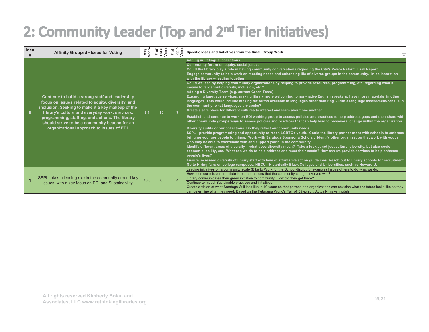### 2: Community Leader (Top and 2nd Tier Initiatives)

| Idea<br># | <b>Affinity Grouped - Ideas for Voting</b>                                                                                                                                                                                                                                                                                                                   | Avg<br>Score | # of<br>Total<br>Votes | # of<br>Top 5<br>Votes | Specific Ideas and Initiatives from the Small Group Work                                                                                                                                                                                                                                                                                                                                                                                                                                                                                                                                                                                                                                                                                                                                                                                                                                                                                                                                                                                                                                                                                                                                                                                                                                                                                                                                                                                                                                                                                                                                                                                                                                                                                                                                                                                                                                                                                                                                                                                                                                                                                                                                                                                     |
|-----------|--------------------------------------------------------------------------------------------------------------------------------------------------------------------------------------------------------------------------------------------------------------------------------------------------------------------------------------------------------------|--------------|------------------------|------------------------|----------------------------------------------------------------------------------------------------------------------------------------------------------------------------------------------------------------------------------------------------------------------------------------------------------------------------------------------------------------------------------------------------------------------------------------------------------------------------------------------------------------------------------------------------------------------------------------------------------------------------------------------------------------------------------------------------------------------------------------------------------------------------------------------------------------------------------------------------------------------------------------------------------------------------------------------------------------------------------------------------------------------------------------------------------------------------------------------------------------------------------------------------------------------------------------------------------------------------------------------------------------------------------------------------------------------------------------------------------------------------------------------------------------------------------------------------------------------------------------------------------------------------------------------------------------------------------------------------------------------------------------------------------------------------------------------------------------------------------------------------------------------------------------------------------------------------------------------------------------------------------------------------------------------------------------------------------------------------------------------------------------------------------------------------------------------------------------------------------------------------------------------------------------------------------------------------------------------------------------------|
| 8         | Continue to build a strong staff and leadership<br>focus on issues related to equity, diversity, and<br>inclusion. Seeking to make it a key makeup of the<br>library's culture and everyday work, services,<br>programming, staffing, and actions. The library<br>should strive to be a community beacon for an<br>organizational approach to issues of EDI. | 7.1          | 10 <sup>°</sup>        |                        | <b>Adding multilingual collections</b><br>Community forum on equity, social justice -<br>Could the library play a role in having community conversations regarding the City's Police Reform Task Report<br>Engage community to help work on meeting needs and enhancing life of diverse groups in the community. In collaboration<br>with the library -- leading together.<br>Could we lead by helping community organizations by helping to provide resources, programming, etc. regarding what it<br>means to talk about diversity, inclusion, etc.?<br>Adding a Diversity Team (e.g. current Green Team)<br>Expanding language services; making library more welcoming to non-native English speakers; have more materials in other<br>languages. This could include making tax forms available in languages other than Eng. - Run a language a <u>ssessment/census in</u><br>the community: what languages are spoke?<br>Create a safe place for different cultures to interact and learn about one another<br>Establish and continue to work on EDI working group to assess policies and practices to help address gaps and then share with<br>other community groups ways to assess policies and practices that can help lead to behavioral change within the organization.<br>Diversity audits of our collections. Do they reflect our community needs.<br>SSPL - provide programming and opportunity to reach LGBTQ+ youth. Could the library partner more with schools to embrace<br>bringing younger people to things. Work with Saratoga Sponsor a Scholar. Identify other organization that work with youth<br>who may be able to coordinate with and support youth in the community<br>ldentify different areas of diversity -- what does diversity mean? Take a look at not just cultural diversity, but also socio-<br>economic, ability, etc. What can we do to help address and meet their needs? How can we provide services to help enhance<br>people's lives?<br>Ensure increased diversity of library staff with lens of affirmative action guidelines. Reach out to library schools for recruitment.<br>Go to Hiring fairs on college campuses. HBCU - Historically Black Colleges and Universities, such as Howard U. |
|           | SSPL takes a leading role in the community around key<br>issues, with a key focus on EDI and Sustainability.                                                                                                                                                                                                                                                 | 10.8         | 6                      |                        | Leading initiatives on a community scale (Bike to Work for the School district for example) Inspire others to do what we do.<br>How does our mission translate into other actions that the community can get involved with?<br>Library communicates their green initiative to community. How did they get there?<br>Continue to model Sustainable practices and initiatives<br>Create a vision of what Saratoga Will look like in 10 years so that patrons and organizations can envision what the future looks like so they<br>Ican determine what they need. Based on the Futurama World's Fair of '39 exhibit. Actually make models                                                                                                                                                                                                                                                                                                                                                                                                                                                                                                                                                                                                                                                                                                                                                                                                                                                                                                                                                                                                                                                                                                                                                                                                                                                                                                                                                                                                                                                                                                                                                                                                       |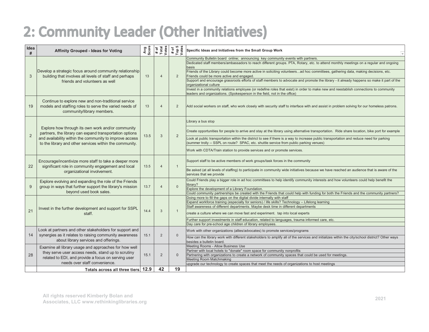### 2: Community Leader (Other Initiatives)

| Idea<br>#      | <b>Affinity Grouped - Ideas for Voting</b>                                                                                                                                                                                         |      | Avg<br>Score<br># of<br>Total<br>Votes | # of<br>Top 5<br>Votes | Specific Ideas and Initiatives from the Small Group Work                                                                                                                                                                                                                                                                                                                                                                                                                                                                                                                                  |
|----------------|------------------------------------------------------------------------------------------------------------------------------------------------------------------------------------------------------------------------------------|------|----------------------------------------|------------------------|-------------------------------------------------------------------------------------------------------------------------------------------------------------------------------------------------------------------------------------------------------------------------------------------------------------------------------------------------------------------------------------------------------------------------------------------------------------------------------------------------------------------------------------------------------------------------------------------|
| 3              | Develop a strategic focus around community relationship<br>building that involves all levels of staff and perhaps<br>friends and volunteers as well                                                                                | 13   | $\overline{4}$                         | 2                      | Community Bulletin board online; announcing key community events with partners.<br>Dedicated staff members/ambassadors to reach different groups. PTA, Rotary, etc. to attend monthly meetings on a regular and ongoing<br>basis<br>Friends of the Library could become more active in soliciting volunteersad hoc committees, gathering data, making decisions, etc.<br>Friends could be more active and engaged.<br>Support and encourage grassroots efforts of staff members to advocate and promote the library - it already happens so make it part of the<br>organizational culture |
|                |                                                                                                                                                                                                                                    |      |                                        |                        | Invest in a community relations employee (or redefine roles that exist) in order to make new and reestablish connections to community<br>leaders and organizations. (Spokesperson in the field, not in the office)                                                                                                                                                                                                                                                                                                                                                                        |
| 19             | Continue to explore new and non-traditional service<br>models and staffing roles to serve the varied needs of<br>community/library members.                                                                                        | 13   | $\overline{4}$                         | $\overline{2}$         | Add social workers on staff, who work closely with security staff to interface with and assist in problem solving for our homeless patrons.                                                                                                                                                                                                                                                                                                                                                                                                                                               |
|                |                                                                                                                                                                                                                                    |      | 3                                      | $\overline{2}$         | Library a bus stop                                                                                                                                                                                                                                                                                                                                                                                                                                                                                                                                                                        |
| $\overline{2}$ | Explore how through its own work and/or community<br>partners, the library can expand transportation options<br>and availability within the community to improve access<br>to the library and other services within the community. | 13.5 |                                        |                        | Create opportunities for people to arrive and stay at the library using alternative transportation. Ride share location, bike port for example                                                                                                                                                                                                                                                                                                                                                                                                                                            |
|                |                                                                                                                                                                                                                                    |      |                                        |                        | Look at public transportation within the district to see if there is a way to increase public transportation and reduce need for parking<br>(summer trolly -- SSPL on route? SPAC, etc. shuttle service from public parking venues)                                                                                                                                                                                                                                                                                                                                                       |
|                |                                                                                                                                                                                                                                    |      |                                        |                        | Work with CDTA/Train station to provide services and or promote services.                                                                                                                                                                                                                                                                                                                                                                                                                                                                                                                 |
| 22             | Encourage/incentivize more staff to take a deeper more<br>significant role in community engagement and local<br>organizational involvement.                                                                                        | 13.5 | $\Delta$                               | $\mathbf{1}$           | Support staff to be active members of work groups/task forces in the community                                                                                                                                                                                                                                                                                                                                                                                                                                                                                                            |
|                |                                                                                                                                                                                                                                    |      |                                        |                        | Be asked (at all levels of staffing) to participate in community wide initiatives because we have reached an audience that is aware of the<br>services that we provide                                                                                                                                                                                                                                                                                                                                                                                                                    |
| 9              | Explore evolving and expanding the role of the Friends<br>group in ways that further support the library's mission                                                                                                                 | 13.7 | $\Delta$                               | $\Omega$               | Could Friends play a bigger role in ad hoc committees to help identify community interests and how volunteers could help benefit the<br>library?                                                                                                                                                                                                                                                                                                                                                                                                                                          |
|                | beyond used book sales.                                                                                                                                                                                                            |      |                                        |                        | Explore the development of a Library Foundation.<br>Could community partnerships be created with the Friends that could help with funding for both the Friends and the community partners?                                                                                                                                                                                                                                                                                                                                                                                                |
|                | Invest in the further development and support for SSPL<br>staff.                                                                                                                                                                   | 14.4 | 3                                      |                        | Doing more to fill the gaps on the digital divide internally with staff<br>Expand workforce training (especially for seniors) / life skills? Technology - Lifelong learning<br>Staff awareness of different departments. Maybe desk time in different departments                                                                                                                                                                                                                                                                                                                         |
| 21             |                                                                                                                                                                                                                                    |      |                                        | $\mathbf{1}$           | create a culture where we can move fast and experiment. tap into local experts                                                                                                                                                                                                                                                                                                                                                                                                                                                                                                            |
|                |                                                                                                                                                                                                                                    |      |                                        |                        | Further support investments in staff education, related to languages, trauma informed care, etc.<br>Day care for pre-school age children of library employees.                                                                                                                                                                                                                                                                                                                                                                                                                            |
| 14             | Look at partners and other stakeholders for support and<br>synergies as it relates to raising community awareness                                                                                                                  | 15.1 | 2                                      | $\mathbf{0}$           | Work with other organizations (allies/advocates) to promote services/programs                                                                                                                                                                                                                                                                                                                                                                                                                                                                                                             |
|                | about library services and offerings.                                                                                                                                                                                              |      |                                        |                        | How can the library work with different stakeholders to amplify all of the services and initializes within the city/school district? Other ways<br>besides a bulletin board.                                                                                                                                                                                                                                                                                                                                                                                                              |
| 28             | Examine all library usage and approaches for how well<br>they serve user access needs, stand up to scrutiny<br>related to EDI, and provide a focus on serving user                                                                 | 15.1 | 2                                      | $\Omega$               | Meeting Rooms - Allow Business Use<br>Partner with local hotels to "donate" room space for community nonprofits<br>Partnering with organizations to create a network of community spaces that could be used for meetings.<br>Meeting Room Matchmaking                                                                                                                                                                                                                                                                                                                                     |
|                | needs over staff convenience.                                                                                                                                                                                                      |      | 42                                     | 19                     | upgrade our technology to create spaces that meet the needs of organizations to host meetings                                                                                                                                                                                                                                                                                                                                                                                                                                                                                             |
|                | Totals across all three tiers 12.9                                                                                                                                                                                                 |      |                                        |                        |                                                                                                                                                                                                                                                                                                                                                                                                                                                                                                                                                                                           |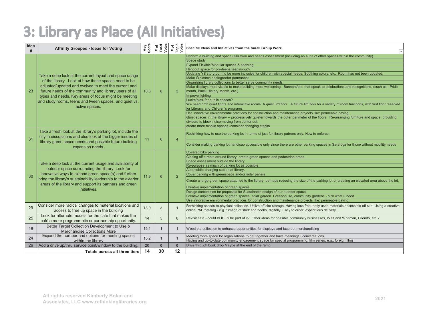### 3: Library as Place (All Initiatives)

| Idea<br># | <b>Affinity Grouped - Ideas for Voting</b>                                                                                                                                                                                                                                                                                                                          | Avg<br>Score | # of<br>Total<br>Votes | # of<br>Top 5<br>Votes | Specific Ideas and Initiatives from the Small Group Work                                                                                                                                                                                                                                                                                                                                                                                                                                                                                                                                                                                                                                                                                                                                                                                                                                                                                                                                                                                                                                                                                                                                                                                                                           |
|-----------|---------------------------------------------------------------------------------------------------------------------------------------------------------------------------------------------------------------------------------------------------------------------------------------------------------------------------------------------------------------------|--------------|------------------------|------------------------|------------------------------------------------------------------------------------------------------------------------------------------------------------------------------------------------------------------------------------------------------------------------------------------------------------------------------------------------------------------------------------------------------------------------------------------------------------------------------------------------------------------------------------------------------------------------------------------------------------------------------------------------------------------------------------------------------------------------------------------------------------------------------------------------------------------------------------------------------------------------------------------------------------------------------------------------------------------------------------------------------------------------------------------------------------------------------------------------------------------------------------------------------------------------------------------------------------------------------------------------------------------------------------|
| 23        | Take a deep look at the current layout and space usage<br>of the library. Look at how those spaces need to be<br>adjusted/updated and evolved to meet the current and<br>future needs of the community and library users of all<br>types and needs. Key areas of focus might be meeting<br>and study rooms, teens and tween spaces, and quiet vs.<br>active spaces. | 10.6         | 8                      | 3                      | Perform a building and space utilization and needs assessment (including an audit of other spaces within the community).<br>Space study<br>Expand Flexible/Modular spaces & shelving<br>Hangout space for pre-teens/teens/youth.<br>Updating YS storyroom to be more inclusive for children with special needs. Soothing colors, etc. Room has not been updated.<br>Make Welcome desk/greeter permanent<br>Organizing library collections to better serve community needs.<br>Make displays more visible to make building more welcoming. Banners/etc. that speak to celebrations and recognitions, (such as - Pride<br>month, Black History Month, etc.)<br>Improve lighting<br>Lucite/plexi for public spaces?<br>We need both quiet floors and interactive rooms. A quiet 3rd floor. A future 4th floor for a variety of room functions, with first floor reserved<br>for Literacy and Children's programs.<br>Use innovative environmental practices for construction and maintenance projects like: permeable paving<br>Quiet spaces in the library -- progressively quieter towards the outer perimeter of the floors. Re-arranging furniture and space, providing<br>dividers to block noise moving from center out.<br>create more mobile spaces -consider changing stacks |
| 31        | Take a fresh look at the library's parking lot, include the<br>city in discussions and also look at the bigger issues of<br>library green space needs and possible future building<br>expansion needs.                                                                                                                                                              | 11           | 6                      | $\overline{4}$         | Rethinking how to use the parking lot in terms of just for library patrons only. How to enforce.<br>Consider making parking lot handicap accessible only since there are other parking spaces in Saratoga for those without mobility needs                                                                                                                                                                                                                                                                                                                                                                                                                                                                                                                                                                                                                                                                                                                                                                                                                                                                                                                                                                                                                                         |
| 30        | Take a deep look at the current usage and availability of<br>outdoor space surrounding the library. Look for<br>innovative ways to expand green space(s) and further<br>bring the library's sustainability leadership to the exterior<br>areas of the library and support its partners and green<br>initiatives.                                                    | 11.9         | 6                      | 2                      | Covered bike parking<br>Closing off streets around library, create green spaces and pedestrian areas.<br>Space assessment outside the library<br>Re-purpose as much of parking lot as possible<br>Automobile charging station at library<br>Cover parking with greenspace and/or solar panels<br>Create a large green space attached to the library, perhaps reducing the size of the parking lot or creating an elevated area above the lot.<br>Creative implementation of green spaces:<br>Design competition for proposals for Sustainable design of our outdoor space<br>Creative implementation of green spaces; solar garden. Greenhouse, community gardens - pick what u need.<br>Use innovative environmental practices for construction and maintenance projects like: permeable paving                                                                                                                                                                                                                                                                                                                                                                                                                                                                                   |
| 29        | Consider more radical changes to material locations and<br>access to free up space in the building                                                                                                                                                                                                                                                                  | 13.9         | 3                      | -1                     | Rethinking access to physical collection. Utilize off-site storage. Having less frequently used materials accessible off-site. Using a creative<br>online PAC/catalog - e.g. : image of shelf and books, digitally. Easy to order; expeditious delivery.                                                                                                                                                                                                                                                                                                                                                                                                                                                                                                                                                                                                                                                                                                                                                                                                                                                                                                                                                                                                                           |
| 25        | Look for alternate models for the café that makes the<br>café a more programmatic or partnership opportunity.                                                                                                                                                                                                                                                       | 14           | 5                      | $\overline{0}$         | Revisit cafe - could BOCES be part of it? Other ideas for possible community businesses, Walt and Whitman, Friends, etc.?                                                                                                                                                                                                                                                                                                                                                                                                                                                                                                                                                                                                                                                                                                                                                                                                                                                                                                                                                                                                                                                                                                                                                          |
| 16        | Better Target Collection Development to Use &<br>Merchandise Collections More                                                                                                                                                                                                                                                                                       | 15.1         |                        |                        | Weed the collection to enhance opportunities for displays and face out merchandising                                                                                                                                                                                                                                                                                                                                                                                                                                                                                                                                                                                                                                                                                                                                                                                                                                                                                                                                                                                                                                                                                                                                                                                               |
| 24        | Expand the number and options for meeting spaces<br>within the library                                                                                                                                                                                                                                                                                              | 15.2         | 1                      | $\mathbf{1}$           | Meeting room space for organizations to get together and have meaningful conversations.<br>Having and up-to-date community engagement space for special programming; film series, e.g., foreign films.                                                                                                                                                                                                                                                                                                                                                                                                                                                                                                                                                                                                                                                                                                                                                                                                                                                                                                                                                                                                                                                                             |
| 26        | Add a drive up/thru service point/window to the building.<br>Totals across all three tiers                                                                                                                                                                                                                                                                          | 20<br>14     | $\bf{0}$<br>30         | $\bf{0}$<br>12         | Drive through book drop Maybe at the end of the ramp.                                                                                                                                                                                                                                                                                                                                                                                                                                                                                                                                                                                                                                                                                                                                                                                                                                                                                                                                                                                                                                                                                                                                                                                                                              |